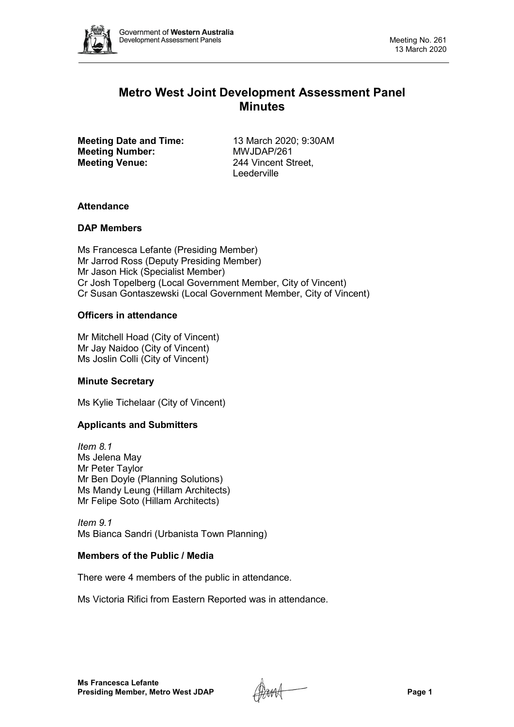

# **Metro West Joint Development Assessment Panel Minutes**

**Meeting Date and Time:** 13 March 2020; 9:30AM<br> **Meeting Number:** MWJDAP/261 **Meeting Number: Meeting Venue:** 244 Vincent Street,

Leederville

# **Attendance**

# **DAP Members**

Ms Francesca Lefante (Presiding Member) Mr Jarrod Ross (Deputy Presiding Member) Mr Jason Hick (Specialist Member) Cr Josh Topelberg (Local Government Member, City of Vincent) Cr Susan Gontaszewski (Local Government Member, City of Vincent)

# **Officers in attendance**

Mr Mitchell Hoad (City of Vincent) Mr Jay Naidoo (City of Vincent) Ms Joslin Colli (City of Vincent)

# **Minute Secretary**

Ms Kylie Tichelaar (City of Vincent)

# **Applicants and Submitters**

*Item 8.1* Ms Jelena May Mr Peter Taylor Mr Ben Doyle (Planning Solutions) Ms Mandy Leung (Hillam Architects) Mr Felipe Soto (Hillam Architects)

*Item 9.1* Ms Bianca Sandri (Urbanista Town Planning)

# **Members of the Public / Media**

There were 4 members of the public in attendance.

Ms Victoria Rifici from Eastern Reported was in attendance.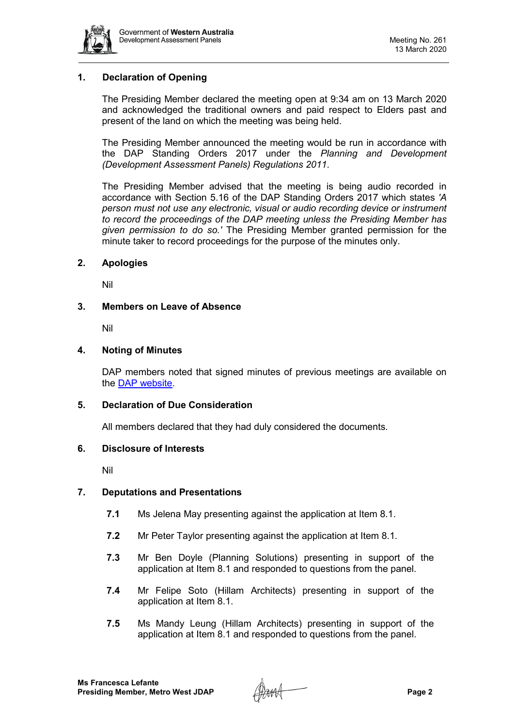

# **1. Declaration of Opening**

The Presiding Member declared the meeting open at 9:34 am on 13 March 2020 and acknowledged the traditional owners and paid respect to Elders past and present of the land on which the meeting was being held.

The Presiding Member announced the meeting would be run in accordance with the DAP Standing Orders 2017 under the *Planning and Development (Development Assessment Panels) Regulations 2011*.

The Presiding Member advised that the meeting is being audio recorded in accordance with Section 5.16 of the DAP Standing Orders 2017 which states *'A person must not use any electronic, visual or audio recording device or instrument to record the proceedings of the DAP meeting unless the Presiding Member has given permission to do so.'* The Presiding Member granted permission for the minute taker to record proceedings for the purpose of the minutes only.

## **2. Apologies**

Nil

## **3. Members on Leave of Absence**

Nil

## **4. Noting of Minutes**

DAP members noted that signed minutes of previous meetings are available on the [DAP website.](https://www.dplh.wa.gov.au/about/development-assessment-panels/daps-agendas-and-minutes)

### **5. Declaration of Due Consideration**

All members declared that they had duly considered the documents.

### **6. Disclosure of Interests**

Nil

### **7. Deputations and Presentations**

- **7.1** Ms Jelena May presenting against the application at Item 8.1.
- **7.2** Mr Peter Taylor presenting against the application at Item 8.1.
- **7.3** Mr Ben Doyle (Planning Solutions) presenting in support of the application at Item 8.1 and responded to questions from the panel.
- **7.4** Mr Felipe Soto (Hillam Architects) presenting in support of the application at Item 8.1.
- **7.5** Ms Mandy Leung (Hillam Architects) presenting in support of the application at Item 8.1 and responded to questions from the panel.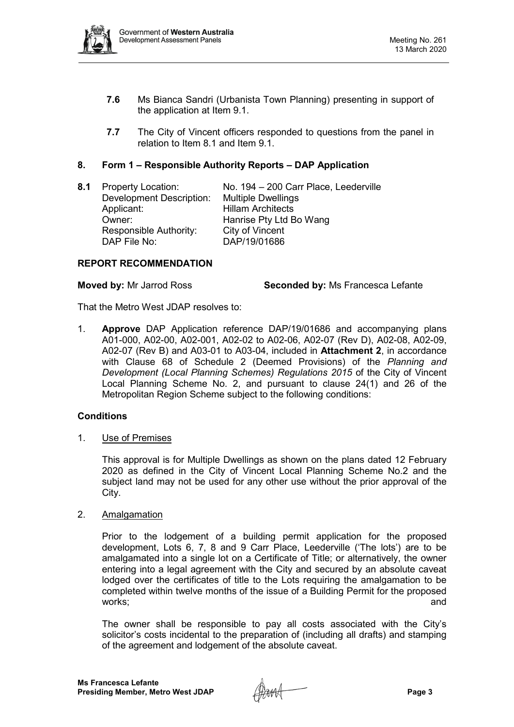

- **7.6** Ms Bianca Sandri (Urbanista Town Planning) presenting in support of the application at Item 9.1.
- **7.7** The City of Vincent officers responded to questions from the panel in relation to Item 8.1 and Item 9.1.

# **8. Form 1 – Responsible Authority Reports – DAP Application**

8.1 Property Location: No. 194 – 200 Carr Place, Leederville<br>Development Description: Multiple Dwellings Development Description: Applicant: Hillam Architects Owner: Manrise Pty Ltd Bo Wang Responsible Authority: City of Vincent<br>DAP File No: DAP/19/01686 DAP/19/01686

# **REPORT RECOMMENDATION**

**Moved by:** Mr Jarrod Ross **Seconded by:** Ms Francesca Lefante

That the Metro West JDAP resolves to:

1. **Approve** DAP Application reference DAP/19/01686 and accompanying plans A01-000, A02-00, A02-001, A02-02 to A02-06, A02-07 (Rev D), A02-08, A02-09, A02-07 (Rev B) and A03-01 to A03-04, included in **Attachment 2**, in accordance with Clause 68 of Schedule 2 (Deemed Provisions) of the *Planning and Development (Local Planning Schemes) Regulations 2015* of the City of Vincent Local Planning Scheme No. 2, and pursuant to clause 24(1) and 26 of the Metropolitan Region Scheme subject to the following conditions:

# **Conditions**

1. Use of Premises

This approval is for Multiple Dwellings as shown on the plans dated 12 February 2020 as defined in the City of Vincent Local Planning Scheme No.2 and the subject land may not be used for any other use without the prior approval of the City.

2. Amalgamation

Prior to the lodgement of a building permit application for the proposed development, Lots 6, 7, 8 and 9 Carr Place, Leederville ('The lots') are to be amalgamated into a single lot on a Certificate of Title; or alternatively, the owner entering into a legal agreement with the City and secured by an absolute caveat lodged over the certificates of title to the Lots requiring the amalgamation to be completed within twelve months of the issue of a Building Permit for the proposed works; and

The owner shall be responsible to pay all costs associated with the City's solicitor's costs incidental to the preparation of (including all drafts) and stamping of the agreement and lodgement of the absolute caveat.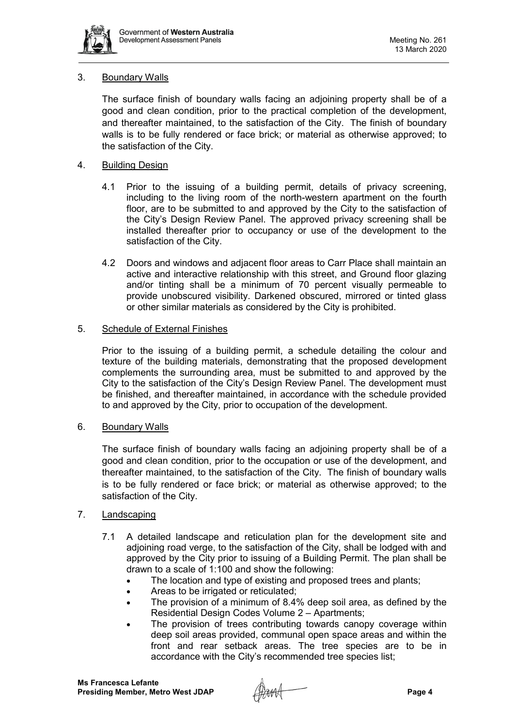

# 3. Boundary Walls

The surface finish of boundary walls facing an adjoining property shall be of a good and clean condition, prior to the practical completion of the development, and thereafter maintained, to the satisfaction of the City. The finish of boundary walls is to be fully rendered or face brick; or material as otherwise approved; to the satisfaction of the City.

# 4. Building Design

- 4.1 Prior to the issuing of a building permit, details of privacy screening, including to the living room of the north-western apartment on the fourth floor, are to be submitted to and approved by the City to the satisfaction of the City's Design Review Panel. The approved privacy screening shall be installed thereafter prior to occupancy or use of the development to the satisfaction of the City.
- 4.2 Doors and windows and adjacent floor areas to Carr Place shall maintain an active and interactive relationship with this street, and Ground floor glazing and/or tinting shall be a minimum of 70 percent visually permeable to provide unobscured visibility. Darkened obscured, mirrored or tinted glass or other similar materials as considered by the City is prohibited.

# 5. Schedule of External Finishes

Prior to the issuing of a building permit, a schedule detailing the colour and texture of the building materials, demonstrating that the proposed development complements the surrounding area, must be submitted to and approved by the City to the satisfaction of the City's Design Review Panel. The development must be finished, and thereafter maintained, in accordance with the schedule provided to and approved by the City, prior to occupation of the development.

# 6. Boundary Walls

The surface finish of boundary walls facing an adjoining property shall be of a good and clean condition, prior to the occupation or use of the development, and thereafter maintained, to the satisfaction of the City. The finish of boundary walls is to be fully rendered or face brick; or material as otherwise approved; to the satisfaction of the City.

# 7. Landscaping

- 7.1 A detailed landscape and reticulation plan for the development site and adjoining road verge, to the satisfaction of the City, shall be lodged with and approved by the City prior to issuing of a Building Permit. The plan shall be drawn to a scale of 1:100 and show the following:
	- The location and type of existing and proposed trees and plants;
	- Areas to be irrigated or reticulated:
	- The provision of a minimum of 8.4% deep soil area, as defined by the Residential Design Codes Volume 2 – Apartments;
	- The provision of trees contributing towards canopy coverage within deep soil areas provided, communal open space areas and within the front and rear setback areas. The tree species are to be in accordance with the City's recommended tree species list;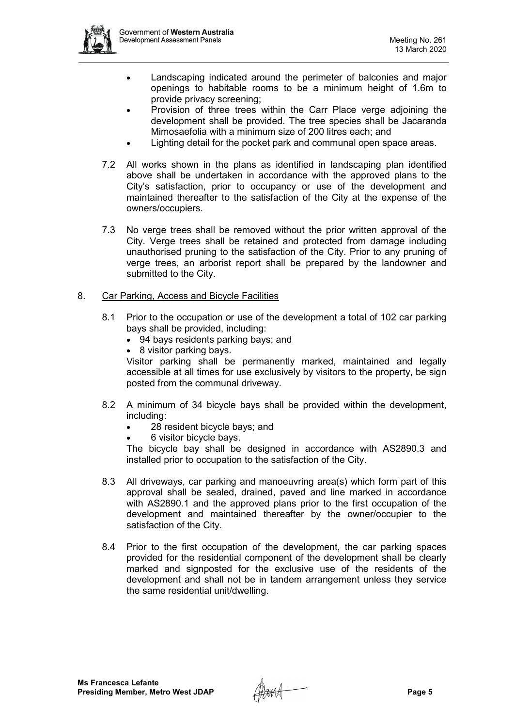

- Landscaping indicated around the perimeter of balconies and major openings to habitable rooms to be a minimum height of 1.6m to provide privacy screening;
- Provision of three trees within the Carr Place verge adjoining the development shall be provided. The tree species shall be Jacaranda Mimosaefolia with a minimum size of 200 litres each; and
- Lighting detail for the pocket park and communal open space areas.
- 7.2 All works shown in the plans as identified in landscaping plan identified above shall be undertaken in accordance with the approved plans to the City's satisfaction, prior to occupancy or use of the development and maintained thereafter to the satisfaction of the City at the expense of the owners/occupiers.
- 7.3 No verge trees shall be removed without the prior written approval of the City. Verge trees shall be retained and protected from damage including unauthorised pruning to the satisfaction of the City. Prior to any pruning of verge trees, an arborist report shall be prepared by the landowner and submitted to the City.

# 8. Car Parking, Access and Bicycle Facilities

- 8.1 Prior to the occupation or use of the development a total of 102 car parking bays shall be provided, including:
	- 94 bays residents parking bays; and
	- 8 visitor parking bays.

Visitor parking shall be permanently marked, maintained and legally accessible at all times for use exclusively by visitors to the property, be sign posted from the communal driveway.

- 8.2 A minimum of 34 bicycle bays shall be provided within the development, including:
	- 28 resident bicycle bays; and
	- 6 visitor bicycle bays.

The bicycle bay shall be designed in accordance with AS2890.3 and installed prior to occupation to the satisfaction of the City.

- 8.3 All driveways, car parking and manoeuvring area(s) which form part of this approval shall be sealed, drained, paved and line marked in accordance with AS2890.1 and the approved plans prior to the first occupation of the development and maintained thereafter by the owner/occupier to the satisfaction of the City.
- 8.4 Prior to the first occupation of the development, the car parking spaces provided for the residential component of the development shall be clearly marked and signposted for the exclusive use of the residents of the development and shall not be in tandem arrangement unless they service the same residential unit/dwelling.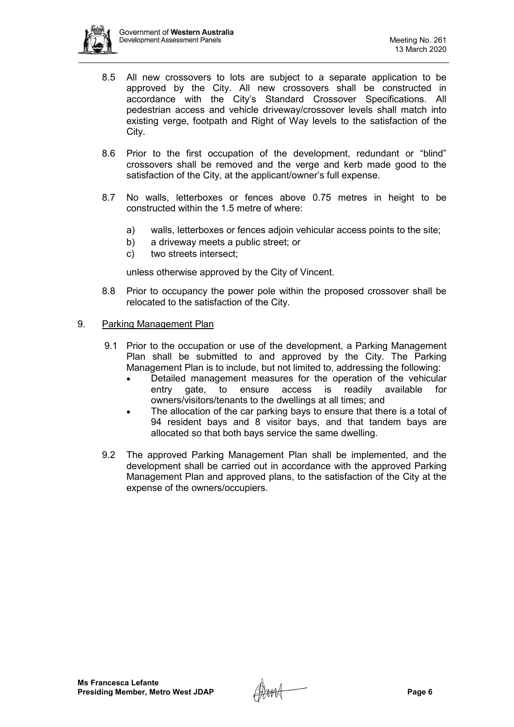

- 8.5 All new crossovers to lots are subject to a separate application to be approved by the City. All new crossovers shall be constructed in accordance with the City's Standard Crossover Specifications. All pedestrian access and vehicle driveway/crossover levels shall match into existing verge, footpath and Right of Way levels to the satisfaction of the City.
- 8.6 Prior to the first occupation of the development, redundant or "blind" crossovers shall be removed and the verge and kerb made good to the satisfaction of the City, at the applicant/owner's full expense.
- 8.7 No walls, letterboxes or fences above 0.75 metres in height to be constructed within the 1.5 metre of where:
	- a) walls, letterboxes or fences adjoin vehicular access points to the site;
	- b) a driveway meets a public street; or
	- c) two streets intersect;

unless otherwise approved by the City of Vincent.

8.8 Prior to occupancy the power pole within the proposed crossover shall be relocated to the satisfaction of the City.

# 9. Parking Management Plan

- 9.1 Prior to the occupation or use of the development, a Parking Management Plan shall be submitted to and approved by the City. The Parking Management Plan is to include, but not limited to, addressing the following:
	- Detailed management measures for the operation of the vehicular entry gate, to ensure access is readily available for owners/visitors/tenants to the dwellings at all times; and
	- The allocation of the car parking bays to ensure that there is a total of 94 resident bays and 8 visitor bays, and that tandem bays are allocated so that both bays service the same dwelling.
- 9.2 The approved Parking Management Plan shall be implemented, and the development shall be carried out in accordance with the approved Parking Management Plan and approved plans, to the satisfaction of the City at the expense of the owners/occupiers.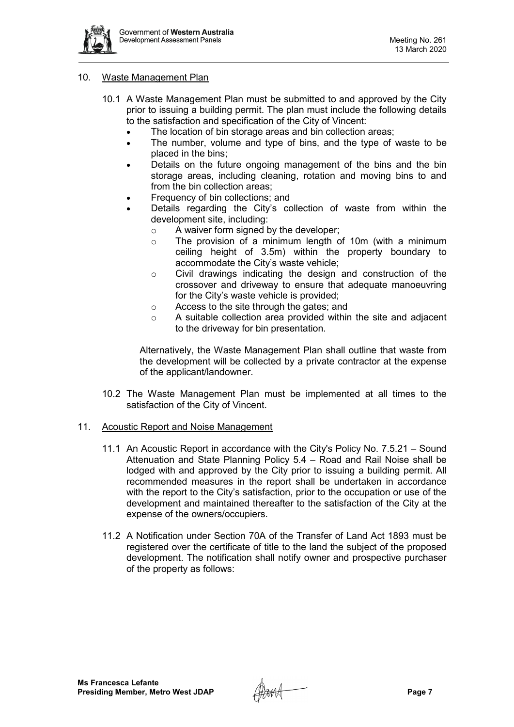

## 10. Waste Management Plan

- 10.1 A Waste Management Plan must be submitted to and approved by the City prior to issuing a building permit. The plan must include the following details to the satisfaction and specification of the City of Vincent:
	- The location of bin storage areas and bin collection areas;
	- The number, volume and type of bins, and the type of waste to be placed in the bins;
	- Details on the future ongoing management of the bins and the bin storage areas, including cleaning, rotation and moving bins to and from the bin collection areas:
	- Frequency of bin collections; and
	- Details regarding the City's collection of waste from within the development site, including:
		- o A waiver form signed by the developer;
		- o The provision of a minimum length of 10m (with a minimum ceiling height of 3.5m) within the property boundary to accommodate the City's waste vehicle;
		- o Civil drawings indicating the design and construction of the crossover and driveway to ensure that adequate manoeuvring for the City's waste vehicle is provided;
		- o Access to the site through the gates; and
		- o A suitable collection area provided within the site and adjacent to the driveway for bin presentation.

Alternatively, the Waste Management Plan shall outline that waste from the development will be collected by a private contractor at the expense of the applicant/landowner.

10.2 The Waste Management Plan must be implemented at all times to the satisfaction of the City of Vincent.

### 11. Acoustic Report and Noise Management

- 11.1 An Acoustic Report in accordance with the City's Policy No. 7.5.21 Sound Attenuation and State Planning Policy 5.4 – Road and Rail Noise shall be lodged with and approved by the City prior to issuing a building permit. All recommended measures in the report shall be undertaken in accordance with the report to the City's satisfaction, prior to the occupation or use of the development and maintained thereafter to the satisfaction of the City at the expense of the owners/occupiers.
- 11.2 A Notification under Section 70A of the Transfer of Land Act 1893 must be registered over the certificate of title to the land the subject of the proposed development. The notification shall notify owner and prospective purchaser of the property as follows: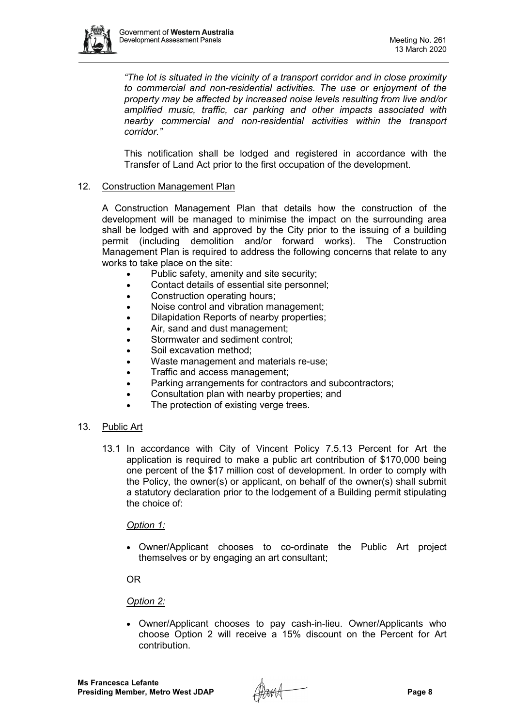

*"The lot is situated in the vicinity of a transport corridor and in close proximity to commercial and non-residential activities. The use or enjoyment of the property may be affected by increased noise levels resulting from live and/or amplified music, traffic, car parking and other impacts associated with nearby commercial and non-residential activities within the transport corridor."*

This notification shall be lodged and registered in accordance with the Transfer of Land Act prior to the first occupation of the development.

# 12. Construction Management Plan

A Construction Management Plan that details how the construction of the development will be managed to minimise the impact on the surrounding area shall be lodged with and approved by the City prior to the issuing of a building permit (including demolition and/or forward works). The Construction Management Plan is required to address the following concerns that relate to any works to take place on the site:

- Public safety, amenity and site security;
- Contact details of essential site personnel;
- Construction operating hours;
- Noise control and vibration management;
- Dilapidation Reports of nearby properties;
- Air, sand and dust management;
- Stormwater and sediment control:
- Soil excavation method:
- Waste management and materials re-use;
- Traffic and access management;
- Parking arrangements for contractors and subcontractors;
- Consultation plan with nearby properties; and
- The protection of existing verge trees.
- 13. Public Art
	- 13.1 In accordance with City of Vincent Policy 7.5.13 Percent for Art the application is required to make a public art contribution of \$170,000 being one percent of the \$17 million cost of development. In order to comply with the Policy, the owner(s) or applicant, on behalf of the owner(s) shall submit a statutory declaration prior to the lodgement of a Building permit stipulating the choice of:

### *Option 1:*

• Owner/Applicant chooses to co-ordinate the Public Art project themselves or by engaging an art consultant;

OR

# *Option 2:*

• Owner/Applicant chooses to pay cash-in-lieu. Owner/Applicants who choose Option 2 will receive a 15% discount on the Percent for Art contribution.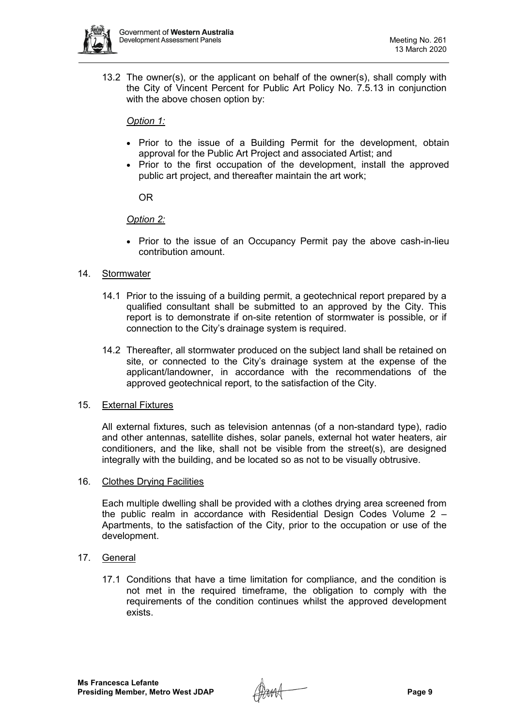

13.2 The owner(s), or the applicant on behalf of the owner(s), shall comply with the City of Vincent Percent for Public Art Policy No. 7.5.13 in conjunction with the above chosen option by:

# *Option 1:*

- Prior to the issue of a Building Permit for the development, obtain approval for the Public Art Project and associated Artist; and
- Prior to the first occupation of the development, install the approved public art project, and thereafter maintain the art work;

OR

# *Option 2:*

• Prior to the issue of an Occupancy Permit pay the above cash-in-lieu contribution amount.

# 14. Stormwater

- 14.1 Prior to the issuing of a building permit, a geotechnical report prepared by a qualified consultant shall be submitted to an approved by the City. This report is to demonstrate if on-site retention of stormwater is possible, or if connection to the City's drainage system is required.
- 14.2 Thereafter, all stormwater produced on the subject land shall be retained on site, or connected to the City's drainage system at the expense of the applicant/landowner, in accordance with the recommendations of the approved geotechnical report, to the satisfaction of the City.

# 15. External Fixtures

All external fixtures, such as television antennas (of a non-standard type), radio and other antennas, satellite dishes, solar panels, external hot water heaters, air conditioners, and the like, shall not be visible from the street(s), are designed integrally with the building, and be located so as not to be visually obtrusive.

# 16. Clothes Drying Facilities

Each multiple dwelling shall be provided with a clothes drying area screened from the public realm in accordance with Residential Design Codes Volume 2 – Apartments, to the satisfaction of the City, prior to the occupation or use of the development.

# 17. General

17.1 Conditions that have a time limitation for compliance, and the condition is not met in the required timeframe, the obligation to comply with the requirements of the condition continues whilst the approved development exists.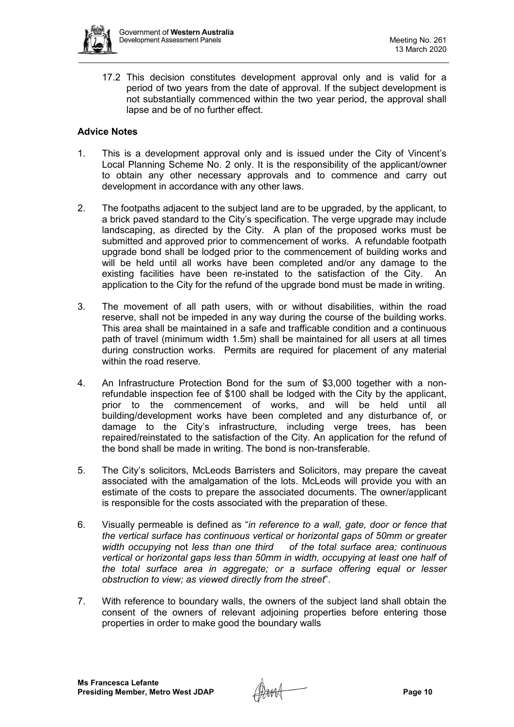

17.2 This decision constitutes development approval only and is valid for a period of two years from the date of approval. If the subject development is not substantially commenced within the two year period, the approval shall lapse and be of no further effect.

# **Advice Notes**

- 1. This is a development approval only and is issued under the City of Vincent's Local Planning Scheme No. 2 only. It is the responsibility of the applicant/owner to obtain any other necessary approvals and to commence and carry out development in accordance with any other laws.
- 2. The footpaths adjacent to the subject land are to be upgraded, by the applicant, to a brick paved standard to the City's specification. The verge upgrade may include landscaping, as directed by the City. A plan of the proposed works must be submitted and approved prior to commencement of works. A refundable footpath upgrade bond shall be lodged prior to the commencement of building works and will be held until all works have been completed and/or any damage to the existing facilities have been re-instated to the satisfaction of the City. An application to the City for the refund of the upgrade bond must be made in writing.
- 3. The movement of all path users, with or without disabilities, within the road reserve, shall not be impeded in any way during the course of the building works. This area shall be maintained in a safe and trafficable condition and a continuous path of travel (minimum width 1.5m) shall be maintained for all users at all times during construction works. Permits are required for placement of any material within the road reserve.
- 4. An Infrastructure Protection Bond for the sum of \$3,000 together with a nonrefundable inspection fee of \$100 shall be lodged with the City by the applicant, prior to the commencement of works, and will be held until all building/development works have been completed and any disturbance of, or damage to the City's infrastructure, including verge trees, has been repaired/reinstated to the satisfaction of the City. An application for the refund of the bond shall be made in writing. The bond is non-transferable.
- 5. The City's solicitors, McLeods Barristers and Solicitors, may prepare the caveat associated with the amalgamation of the lots. McLeods will provide you with an estimate of the costs to prepare the associated documents. The owner/applicant is responsible for the costs associated with the preparation of these.
- 6. Visually permeable is defined as "*in reference to a wall, gate, door or fence that the vertical surface has continuous vertical or horizontal gaps of 50mm or greater width occupying* not *less than one third of the total surface area; continuous vertical or horizontal gaps less than 50mm in width, occupying at least one half of the total surface area in aggregate; or a surface offering equal or lesser obstruction to view; as viewed directly from the street*".
- 7. With reference to boundary walls, the owners of the subject land shall obtain the consent of the owners of relevant adjoining properties before entering those properties in order to make good the boundary walls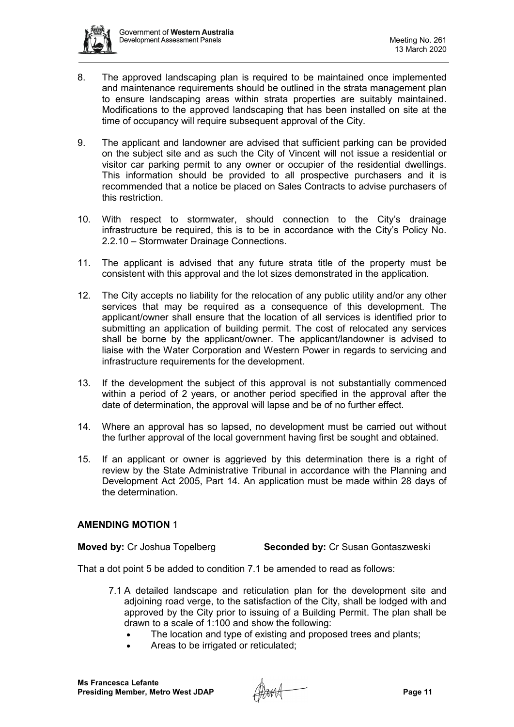

- 8. The approved landscaping plan is required to be maintained once implemented and maintenance requirements should be outlined in the strata management plan to ensure landscaping areas within strata properties are suitably maintained. Modifications to the approved landscaping that has been installed on site at the time of occupancy will require subsequent approval of the City.
- 9. The applicant and landowner are advised that sufficient parking can be provided on the subject site and as such the City of Vincent will not issue a residential or visitor car parking permit to any owner or occupier of the residential dwellings. This information should be provided to all prospective purchasers and it is recommended that a notice be placed on Sales Contracts to advise purchasers of this restriction.
- 10. With respect to stormwater, should connection to the City's drainage infrastructure be required, this is to be in accordance with the City's Policy No. 2.2.10 – Stormwater Drainage Connections.
- 11. The applicant is advised that any future strata title of the property must be consistent with this approval and the lot sizes demonstrated in the application.
- 12. The City accepts no liability for the relocation of any public utility and/or any other services that may be required as a consequence of this development. The applicant/owner shall ensure that the location of all services is identified prior to submitting an application of building permit. The cost of relocated any services shall be borne by the applicant/owner. The applicant/landowner is advised to liaise with the Water Corporation and Western Power in regards to servicing and infrastructure requirements for the development.
- 13. If the development the subject of this approval is not substantially commenced within a period of 2 years, or another period specified in the approval after the date of determination, the approval will lapse and be of no further effect.
- 14. Where an approval has so lapsed, no development must be carried out without the further approval of the local government having first be sought and obtained.
- 15. If an applicant or owner is aggrieved by this determination there is a right of review by the State Administrative Tribunal in accordance with the Planning and Development Act 2005, Part 14. An application must be made within 28 days of the determination.

# **AMENDING MOTION** 1

**Moved by:** Cr Joshua Topelberg **Seconded by:** Cr Susan Gontaszweski

That a dot point 5 be added to condition 7.1 be amended to read as follows:

- 7.1 A detailed landscape and reticulation plan for the development site and adjoining road verge, to the satisfaction of the City, shall be lodged with and approved by the City prior to issuing of a Building Permit. The plan shall be drawn to a scale of 1:100 and show the following:
	- The location and type of existing and proposed trees and plants;
	- Areas to be irrigated or reticulated;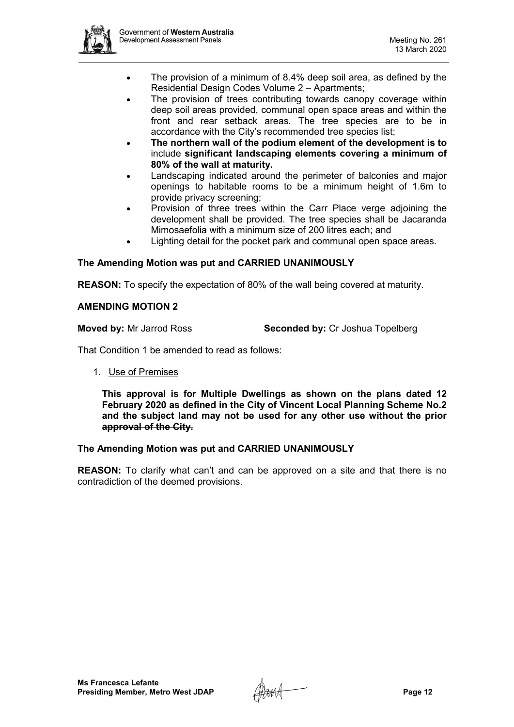

- The provision of a minimum of 8.4% deep soil area, as defined by the Residential Design Codes Volume 2 – Apartments;
- The provision of trees contributing towards canopy coverage within deep soil areas provided, communal open space areas and within the front and rear setback areas. The tree species are to be in accordance with the City's recommended tree species list;
- **The northern wall of the podium element of the development is to**  include **significant landscaping elements covering a minimum of 80% of the wall at maturity.**
- Landscaping indicated around the perimeter of balconies and major openings to habitable rooms to be a minimum height of 1.6m to provide privacy screening;
- Provision of three trees within the Carr Place verge adjoining the development shall be provided. The tree species shall be Jacaranda Mimosaefolia with a minimum size of 200 litres each; and
- Lighting detail for the pocket park and communal open space areas.

# **The Amending Motion was put and CARRIED UNANIMOUSLY**

**REASON:** To specify the expectation of 80% of the wall being covered at maturity.

## **AMENDING MOTION 2**

**Moved by:** Mr Jarrod Ross **Seconded by:** Cr Joshua Topelberg

That Condition 1 be amended to read as follows:

### 1. Use of Premises

**This approval is for Multiple Dwellings as shown on the plans dated 12 February 2020 as defined in the City of Vincent Local Planning Scheme No.2 and the subject land may not be used for any other use without the prior approval of the City.**

# **The Amending Motion was put and CARRIED UNANIMOUSLY**

**REASON:** To clarify what can't and can be approved on a site and that there is no contradiction of the deemed provisions.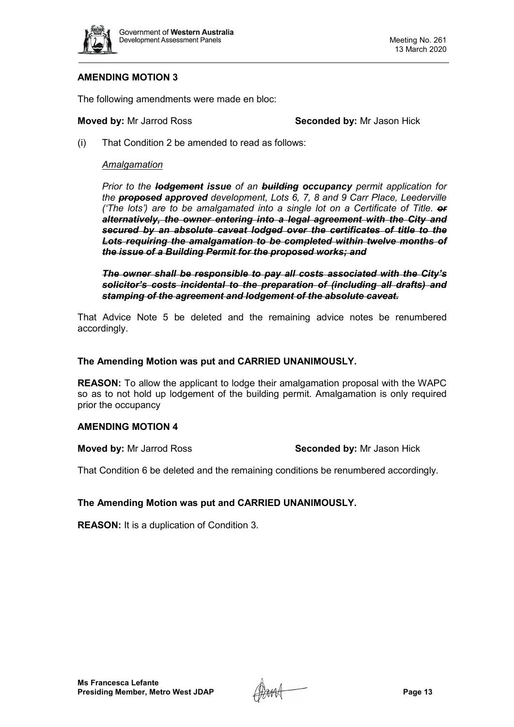

# **AMENDING MOTION 3**

The following amendments were made en bloc:

**Moved by:** Mr Jarrod Ross **Seconded by:** Mr Jason Hick

(i) That Condition 2 be amended to read as follows:

## *Amalgamation*

*Prior to the lodgement issue of an building occupancy permit application for the proposed approved development, Lots 6, 7, 8 and 9 Carr Place, Leederville ('The lots') are to be amalgamated into a single lot on a Certificate of Title. or alternatively, the owner entering into a legal agreement with the City and secured by an absolute caveat lodged over the certificates of title to the Lots requiring the amalgamation to be completed within twelve months of the issue of a Building Permit for the proposed works; and*

*The owner shall be responsible to pay all costs associated with the City's solicitor's costs incidental to the preparation of (including all drafts) and stamping of the agreement and lodgement of the absolute caveat.*

That Advice Note 5 be deleted and the remaining advice notes be renumbered accordingly.

### **The Amending Motion was put and CARRIED UNANIMOUSLY.**

**REASON:** To allow the applicant to lodge their amalgamation proposal with the WAPC so as to not hold up lodgement of the building permit. Amalgamation is only required prior the occupancy

### **AMENDING MOTION 4**

**Moved by:** Mr Jarrod Ross **Seconded by:** Mr Jason Hick

That Condition 6 be deleted and the remaining conditions be renumbered accordingly.

# **The Amending Motion was put and CARRIED UNANIMOUSLY.**

**REASON:** It is a duplication of Condition 3.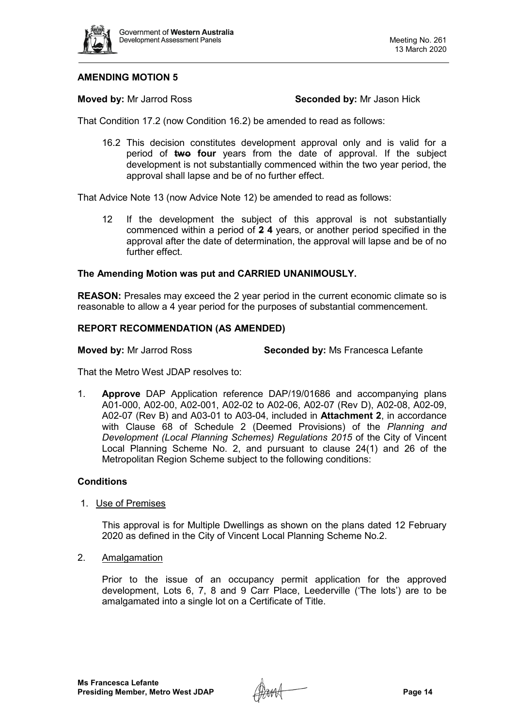

# **AMENDING MOTION 5**

**Moved by:** Mr Jarrod Ross **Seconded by:** Mr Jason Hick

That Condition 17.2 (now Condition 16.2) be amended to read as follows:

16.2 This decision constitutes development approval only and is valid for a period of **two four** years from the date of approval. If the subject development is not substantially commenced within the two year period, the approval shall lapse and be of no further effect.

That Advice Note 13 (now Advice Note 12) be amended to read as follows:

12 If the development the subject of this approval is not substantially commenced within a period of **2 4** years, or another period specified in the approval after the date of determination, the approval will lapse and be of no further effect.

# **The Amending Motion was put and CARRIED UNANIMOUSLY.**

**REASON:** Presales may exceed the 2 year period in the current economic climate so is reasonable to allow a 4 year period for the purposes of substantial commencement.

## **REPORT RECOMMENDATION (AS AMENDED)**

**Moved by:** Mr Jarrod Ross **Seconded by:** Ms Francesca Lefante

That the Metro West JDAP resolves to:

1. **Approve** DAP Application reference DAP/19/01686 and accompanying plans A01-000, A02-00, A02-001, A02-02 to A02-06, A02-07 (Rev D), A02-08, A02-09, A02-07 (Rev B) and A03-01 to A03-04, included in **Attachment 2**, in accordance with Clause 68 of Schedule 2 (Deemed Provisions) of the *Planning and Development (Local Planning Schemes) Regulations 2015* of the City of Vincent Local Planning Scheme No. 2, and pursuant to clause 24(1) and 26 of the Metropolitan Region Scheme subject to the following conditions:

# **Conditions**

# 1. Use of Premises

This approval is for Multiple Dwellings as shown on the plans dated 12 February 2020 as defined in the City of Vincent Local Planning Scheme No.2.

2. Amalgamation

Prior to the issue of an occupancy permit application for the approved development, Lots 6, 7, 8 and 9 Carr Place, Leederville ('The lots') are to be amalgamated into a single lot on a Certificate of Title.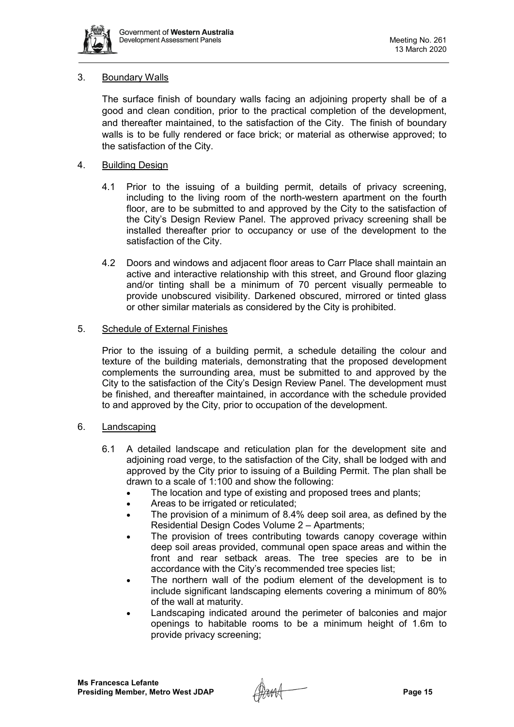

# 3. Boundary Walls

The surface finish of boundary walls facing an adjoining property shall be of a good and clean condition, prior to the practical completion of the development, and thereafter maintained, to the satisfaction of the City. The finish of boundary walls is to be fully rendered or face brick; or material as otherwise approved; to the satisfaction of the City.

# 4. Building Design

- 4.1 Prior to the issuing of a building permit, details of privacy screening, including to the living room of the north-western apartment on the fourth floor, are to be submitted to and approved by the City to the satisfaction of the City's Design Review Panel. The approved privacy screening shall be installed thereafter prior to occupancy or use of the development to the satisfaction of the City.
- 4.2 Doors and windows and adjacent floor areas to Carr Place shall maintain an active and interactive relationship with this street, and Ground floor glazing and/or tinting shall be a minimum of 70 percent visually permeable to provide unobscured visibility. Darkened obscured, mirrored or tinted glass or other similar materials as considered by the City is prohibited.

# 5. Schedule of External Finishes

Prior to the issuing of a building permit, a schedule detailing the colour and texture of the building materials, demonstrating that the proposed development complements the surrounding area, must be submitted to and approved by the City to the satisfaction of the City's Design Review Panel. The development must be finished, and thereafter maintained, in accordance with the schedule provided to and approved by the City, prior to occupation of the development.

# 6. Landscaping

- 6.1 A detailed landscape and reticulation plan for the development site and adjoining road verge, to the satisfaction of the City, shall be lodged with and approved by the City prior to issuing of a Building Permit. The plan shall be drawn to a scale of 1:100 and show the following:
	- The location and type of existing and proposed trees and plants;
	- Areas to be irrigated or reticulated;
	- The provision of a minimum of 8.4% deep soil area, as defined by the Residential Design Codes Volume 2 – Apartments;
	- The provision of trees contributing towards canopy coverage within deep soil areas provided, communal open space areas and within the front and rear setback areas. The tree species are to be in accordance with the City's recommended tree species list;
	- The northern wall of the podium element of the development is to include significant landscaping elements covering a minimum of 80% of the wall at maturity.
	- Landscaping indicated around the perimeter of balconies and major openings to habitable rooms to be a minimum height of 1.6m to provide privacy screening;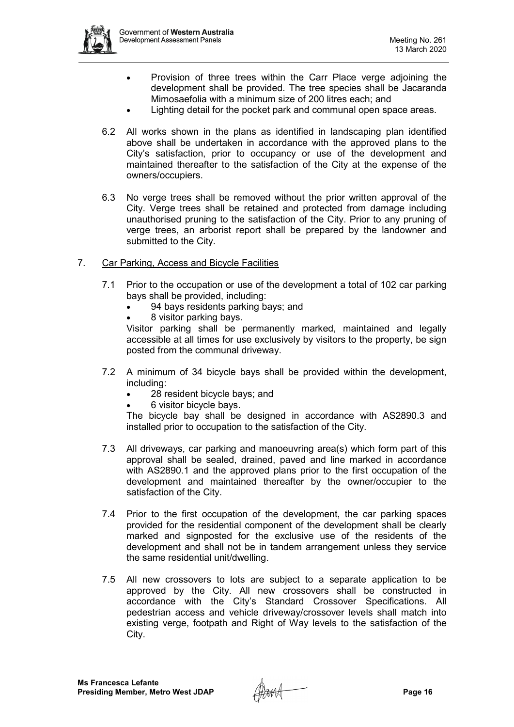

- Provision of three trees within the Carr Place verge adjoining the development shall be provided. The tree species shall be Jacaranda Mimosaefolia with a minimum size of 200 litres each; and
- Lighting detail for the pocket park and communal open space areas.
- 6.2 All works shown in the plans as identified in landscaping plan identified above shall be undertaken in accordance with the approved plans to the City's satisfaction, prior to occupancy or use of the development and maintained thereafter to the satisfaction of the City at the expense of the owners/occupiers.
- 6.3 No verge trees shall be removed without the prior written approval of the City. Verge trees shall be retained and protected from damage including unauthorised pruning to the satisfaction of the City. Prior to any pruning of verge trees, an arborist report shall be prepared by the landowner and submitted to the City.
- 7. Car Parking, Access and Bicycle Facilities
	- 7.1 Prior to the occupation or use of the development a total of 102 car parking bays shall be provided, including:
		- 94 bays residents parking bays; and
		- 8 visitor parking bays.

Visitor parking shall be permanently marked, maintained and legally accessible at all times for use exclusively by visitors to the property, be sign posted from the communal driveway.

- 7.2 A minimum of 34 bicycle bays shall be provided within the development, including:
	- 28 resident bicycle bays; and
	- 6 visitor bicycle bays.

The bicycle bay shall be designed in accordance with AS2890.3 and installed prior to occupation to the satisfaction of the City.

- 7.3 All driveways, car parking and manoeuvring area(s) which form part of this approval shall be sealed, drained, paved and line marked in accordance with AS2890.1 and the approved plans prior to the first occupation of the development and maintained thereafter by the owner/occupier to the satisfaction of the City.
- 7.4 Prior to the first occupation of the development, the car parking spaces provided for the residential component of the development shall be clearly marked and signposted for the exclusive use of the residents of the development and shall not be in tandem arrangement unless they service the same residential unit/dwelling.
- 7.5 All new crossovers to lots are subject to a separate application to be approved by the City. All new crossovers shall be constructed in accordance with the City's Standard Crossover Specifications. All pedestrian access and vehicle driveway/crossover levels shall match into existing verge, footpath and Right of Way levels to the satisfaction of the City.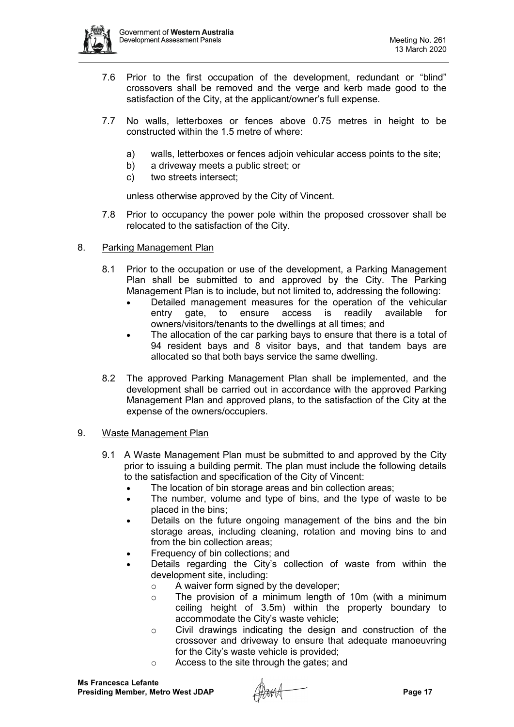

- 7.6 Prior to the first occupation of the development, redundant or "blind" crossovers shall be removed and the verge and kerb made good to the satisfaction of the City, at the applicant/owner's full expense.
- 7.7 No walls, letterboxes or fences above 0.75 metres in height to be constructed within the 1.5 metre of where:
	- a) walls, letterboxes or fences adjoin vehicular access points to the site;
	- b) a driveway meets a public street; or
	- c) two streets intersect;

unless otherwise approved by the City of Vincent.

- 7.8 Prior to occupancy the power pole within the proposed crossover shall be relocated to the satisfaction of the City.
- 8. Parking Management Plan
	- 8.1 Prior to the occupation or use of the development, a Parking Management Plan shall be submitted to and approved by the City. The Parking Management Plan is to include, but not limited to, addressing the following:
		- Detailed management measures for the operation of the vehicular entry gate, to ensure access is readily available for owners/visitors/tenants to the dwellings at all times; and
		- The allocation of the car parking bays to ensure that there is a total of 94 resident bays and 8 visitor bays, and that tandem bays are allocated so that both bays service the same dwelling.
	- 8.2 The approved Parking Management Plan shall be implemented, and the development shall be carried out in accordance with the approved Parking Management Plan and approved plans, to the satisfaction of the City at the expense of the owners/occupiers.

# 9. Waste Management Plan

- 9.1 A Waste Management Plan must be submitted to and approved by the City prior to issuing a building permit. The plan must include the following details to the satisfaction and specification of the City of Vincent:
	- The location of bin storage areas and bin collection areas;
	- The number, volume and type of bins, and the type of waste to be placed in the bins;
	- Details on the future ongoing management of the bins and the bin storage areas, including cleaning, rotation and moving bins to and from the bin collection areas;
	- Frequency of bin collections; and
	- Details regarding the City's collection of waste from within the development site, including:
		- o A waiver form signed by the developer;
		- o The provision of a minimum length of 10m (with a minimum ceiling height of 3.5m) within the property boundary to accommodate the City's waste vehicle;
		- o Civil drawings indicating the design and construction of the crossover and driveway to ensure that adequate manoeuvring for the City's waste vehicle is provided;
		- o Access to the site through the gates; and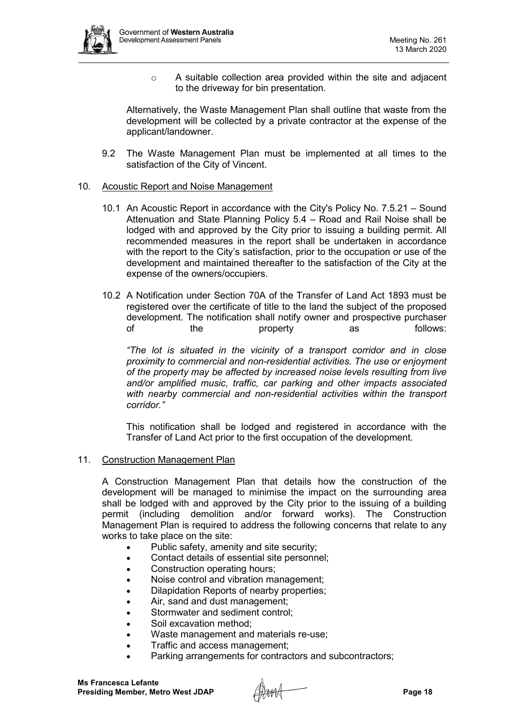

o A suitable collection area provided within the site and adjacent to the driveway for bin presentation.

Alternatively, the Waste Management Plan shall outline that waste from the development will be collected by a private contractor at the expense of the applicant/landowner.

9.2 The Waste Management Plan must be implemented at all times to the satisfaction of the City of Vincent.

## 10. Acoustic Report and Noise Management

- 10.1 An Acoustic Report in accordance with the City's Policy No. 7.5.21 Sound Attenuation and State Planning Policy 5.4 – Road and Rail Noise shall be lodged with and approved by the City prior to issuing a building permit. All recommended measures in the report shall be undertaken in accordance with the report to the City's satisfaction, prior to the occupation or use of the development and maintained thereafter to the satisfaction of the City at the expense of the owners/occupiers.
- 10.2 A Notification under Section 70A of the Transfer of Land Act 1893 must be registered over the certificate of title to the land the subject of the proposed development. The notification shall notify owner and prospective purchaser<br>of the property as follows: of the property as follows:

*"The lot is situated in the vicinity of a transport corridor and in close proximity to commercial and non-residential activities. The use or enjoyment of the property may be affected by increased noise levels resulting from live and/or amplified music, traffic, car parking and other impacts associated*  with nearby commercial and non-residential activities within the transport *corridor."*

This notification shall be lodged and registered in accordance with the Transfer of Land Act prior to the first occupation of the development.

11. Construction Management Plan

A Construction Management Plan that details how the construction of the development will be managed to minimise the impact on the surrounding area shall be lodged with and approved by the City prior to the issuing of a building permit (including demolition and/or forward works). The Construction Management Plan is required to address the following concerns that relate to any works to take place on the site:

- Public safety, amenity and site security;
- Contact details of essential site personnel;
- Construction operating hours;
- Noise control and vibration management;
- Dilapidation Reports of nearby properties;
- Air, sand and dust management:
- Stormwater and sediment control:
- Soil excavation method:
- Waste management and materials re-use;
- Traffic and access management;
- Parking arrangements for contractors and subcontractors;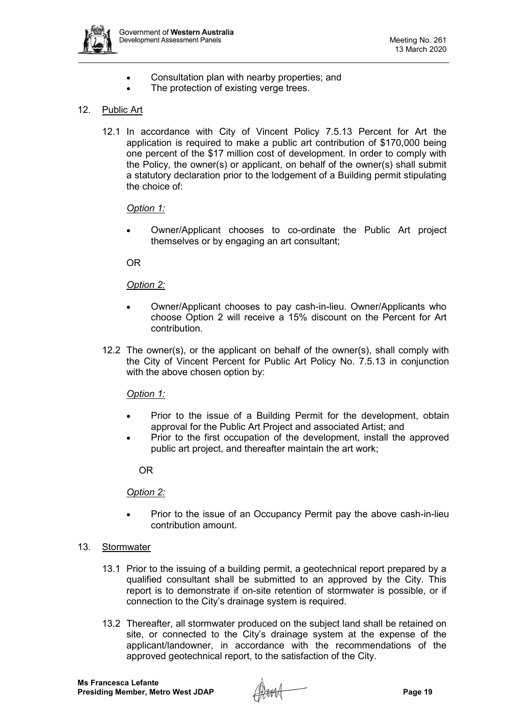

- Consultation plan with nearby properties; and
- The protection of existing verge trees.

# 12. Public Art

12.1 In accordance with City of Vincent Policy 7.5.13 Percent for Art the application is required to make a public art contribution of \$170,000 being one percent of the \$17 million cost of development. In order to comply with the Policy, the owner(s) or applicant, on behalf of the owner(s) shall submit a statutory declaration prior to the lodgement of a Building permit stipulating the choice of:

# *Option 1:*

• Owner/Applicant chooses to co-ordinate the Public Art project themselves or by engaging an art consultant;

# OR

# *Option 2:*

- Owner/Applicant chooses to pay cash-in-lieu. Owner/Applicants who choose Option 2 will receive a 15% discount on the Percent for Art contribution.
- 12.2 The owner(s), or the applicant on behalf of the owner(s), shall comply with the City of Vincent Percent for Public Art Policy No. 7.5.13 in conjunction with the above chosen option by:

# *Option 1:*

- Prior to the issue of a Building Permit for the development, obtain approval for the Public Art Project and associated Artist; and
- Prior to the first occupation of the development, install the approved public art project, and thereafter maintain the art work;

# OR

# *Option 2:*

- Prior to the issue of an Occupancy Permit pay the above cash-in-lieu contribution amount.
- 13. Stormwater
	- 13.1 Prior to the issuing of a building permit, a geotechnical report prepared by a qualified consultant shall be submitted to an approved by the City. This report is to demonstrate if on-site retention of stormwater is possible, or if connection to the City's drainage system is required.
	- 13.2 Thereafter, all stormwater produced on the subject land shall be retained on site, or connected to the City's drainage system at the expense of the applicant/landowner, in accordance with the recommendations of the approved geotechnical report, to the satisfaction of the City.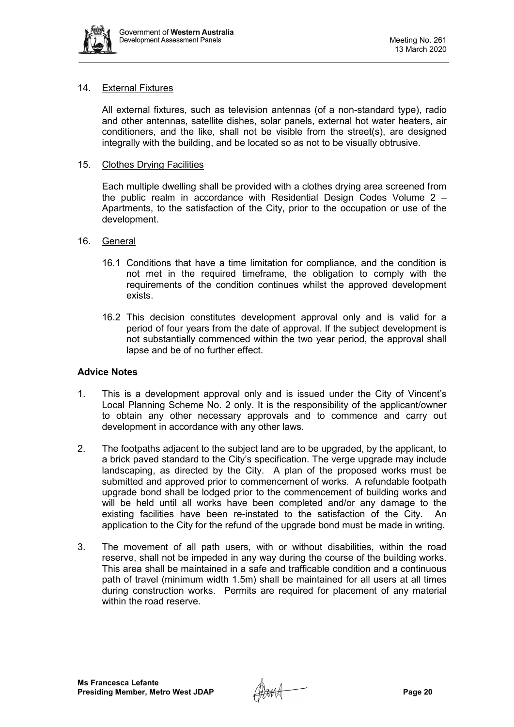

# 14. External Fixtures

All external fixtures, such as television antennas (of a non-standard type), radio and other antennas, satellite dishes, solar panels, external hot water heaters, air conditioners, and the like, shall not be visible from the street(s), are designed integrally with the building, and be located so as not to be visually obtrusive.

## 15. Clothes Drying Facilities

Each multiple dwelling shall be provided with a clothes drying area screened from the public realm in accordance with Residential Design Codes Volume 2 – Apartments, to the satisfaction of the City, prior to the occupation or use of the development.

## 16. General

- 16.1 Conditions that have a time limitation for compliance, and the condition is not met in the required timeframe, the obligation to comply with the requirements of the condition continues whilst the approved development exists.
- 16.2 This decision constitutes development approval only and is valid for a period of four years from the date of approval. If the subject development is not substantially commenced within the two year period, the approval shall lapse and be of no further effect.

### **Advice Notes**

- 1. This is a development approval only and is issued under the City of Vincent's Local Planning Scheme No. 2 only. It is the responsibility of the applicant/owner to obtain any other necessary approvals and to commence and carry out development in accordance with any other laws.
- 2. The footpaths adjacent to the subject land are to be upgraded, by the applicant, to a brick paved standard to the City's specification. The verge upgrade may include landscaping, as directed by the City. A plan of the proposed works must be submitted and approved prior to commencement of works. A refundable footpath upgrade bond shall be lodged prior to the commencement of building works and will be held until all works have been completed and/or any damage to the existing facilities have been re-instated to the satisfaction of the City. An application to the City for the refund of the upgrade bond must be made in writing.
- 3. The movement of all path users, with or without disabilities, within the road reserve, shall not be impeded in any way during the course of the building works. This area shall be maintained in a safe and trafficable condition and a continuous path of travel (minimum width 1.5m) shall be maintained for all users at all times during construction works. Permits are required for placement of any material within the road reserve.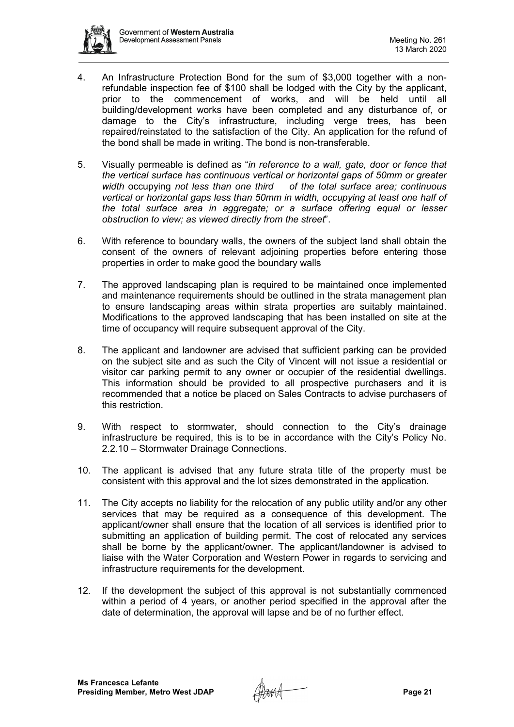

- 4. An Infrastructure Protection Bond for the sum of \$3,000 together with a nonrefundable inspection fee of \$100 shall be lodged with the City by the applicant, prior to the commencement of works, and will be held until all building/development works have been completed and any disturbance of, or damage to the City's infrastructure, including verge trees, has been repaired/reinstated to the satisfaction of the City. An application for the refund of the bond shall be made in writing. The bond is non-transferable.
- 5. Visually permeable is defined as "*in reference to a wall, gate, door or fence that the vertical surface has continuous vertical or horizontal gaps of 50mm or greater width* occupying *not less than one third of the total surface area; continuous vertical or horizontal gaps less than 50mm in width, occupying at least one half of the total surface area in aggregate; or a surface offering equal or lesser obstruction to view; as viewed directly from the street*".
- 6. With reference to boundary walls, the owners of the subject land shall obtain the consent of the owners of relevant adjoining properties before entering those properties in order to make good the boundary walls
- 7. The approved landscaping plan is required to be maintained once implemented and maintenance requirements should be outlined in the strata management plan to ensure landscaping areas within strata properties are suitably maintained. Modifications to the approved landscaping that has been installed on site at the time of occupancy will require subsequent approval of the City.
- 8. The applicant and landowner are advised that sufficient parking can be provided on the subject site and as such the City of Vincent will not issue a residential or visitor car parking permit to any owner or occupier of the residential dwellings. This information should be provided to all prospective purchasers and it is recommended that a notice be placed on Sales Contracts to advise purchasers of this restriction.
- 9. With respect to stormwater, should connection to the City's drainage infrastructure be required, this is to be in accordance with the City's Policy No. 2.2.10 – Stormwater Drainage Connections.
- 10. The applicant is advised that any future strata title of the property must be consistent with this approval and the lot sizes demonstrated in the application.
- 11. The City accepts no liability for the relocation of any public utility and/or any other services that may be required as a consequence of this development. The applicant/owner shall ensure that the location of all services is identified prior to submitting an application of building permit. The cost of relocated any services shall be borne by the applicant/owner. The applicant/landowner is advised to liaise with the Water Corporation and Western Power in regards to servicing and infrastructure requirements for the development.
- 12. If the development the subject of this approval is not substantially commenced within a period of 4 years, or another period specified in the approval after the date of determination, the approval will lapse and be of no further effect.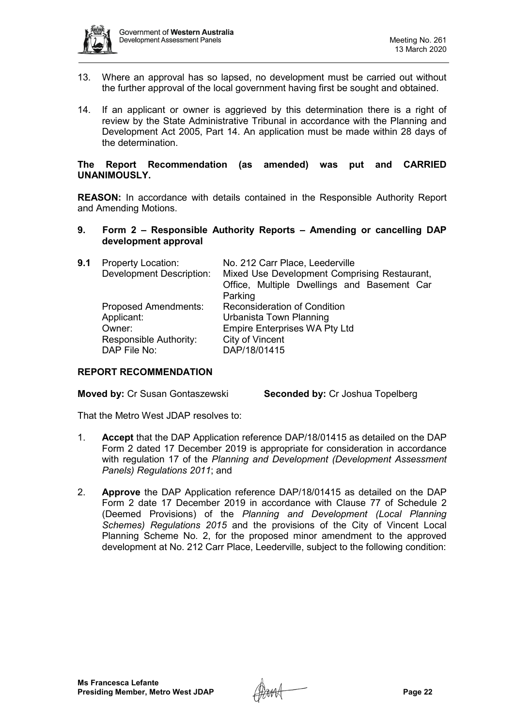

- 13. Where an approval has so lapsed, no development must be carried out without the further approval of the local government having first be sought and obtained.
- 14. If an applicant or owner is aggrieved by this determination there is a right of review by the State Administrative Tribunal in accordance with the Planning and Development Act 2005, Part 14. An application must be made within 28 days of the determination.

## **The Report Recommendation (as amended) was put and CARRIED UNANIMOUSLY.**

**REASON:** In accordance with details contained in the Responsible Authority Report and Amending Motions.

**9. Form 2 – Responsible Authority Reports – Amending or cancelling DAP development approval**

| 9.1 | <b>Property Location:</b><br><b>Development Description:</b> | No. 212 Carr Place, Leederville<br>Mixed Use Development Comprising Restaurant, |
|-----|--------------------------------------------------------------|---------------------------------------------------------------------------------|
|     |                                                              | Office, Multiple Dwellings and Basement Car                                     |
|     |                                                              | Parking                                                                         |
|     | <b>Proposed Amendments:</b>                                  | <b>Reconsideration of Condition</b>                                             |
|     | Applicant:                                                   | Urbanista Town Planning                                                         |
|     | Owner:                                                       | <b>Empire Enterprises WA Pty Ltd</b>                                            |
|     | <b>Responsible Authority:</b>                                | City of Vincent                                                                 |
|     | DAP File No:                                                 | DAP/18/01415                                                                    |

# **REPORT RECOMMENDATION**

**Moved by:** Cr Susan Gontaszewski **Seconded by:** Cr Joshua Topelberg

That the Metro West JDAP resolves to:

- 1. **Accept** that the DAP Application reference DAP/18/01415 as detailed on the DAP Form 2 dated 17 December 2019 is appropriate for consideration in accordance with regulation 17 of the *Planning and Development (Development Assessment Panels) Regulations 2011*; and
- 2. **Approve** the DAP Application reference DAP/18/01415 as detailed on the DAP Form 2 date 17 December 2019 in accordance with Clause 77 of Schedule 2 (Deemed Provisions) of the *Planning and Development (Local Planning Schemes) Regulations 2015* and the provisions of the City of Vincent Local Planning Scheme No. 2, for the proposed minor amendment to the approved development at No. 212 Carr Place, Leederville, subject to the following condition: